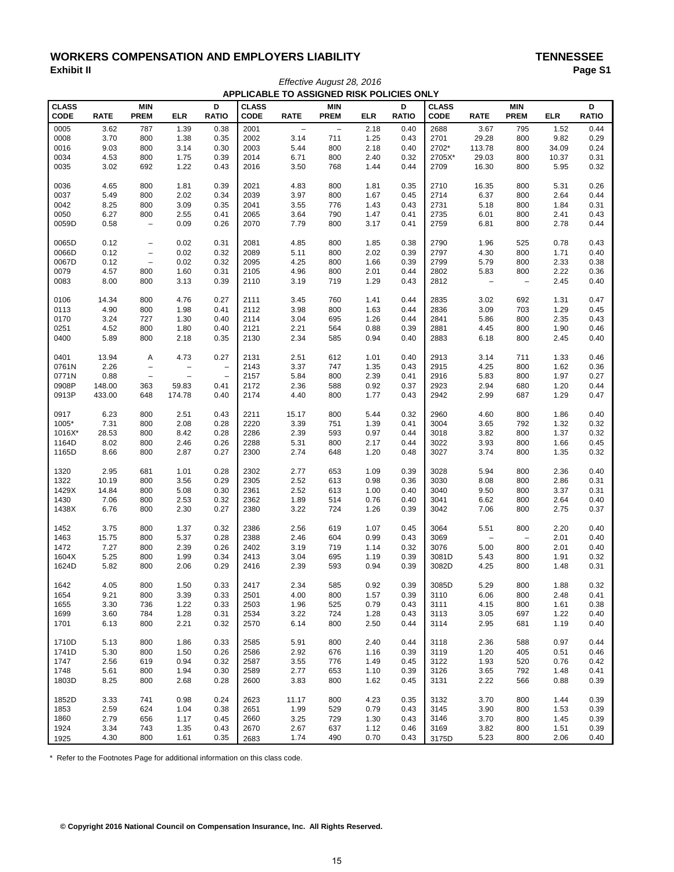# WORKERS COMPENSATION AND EMPLOYERS LIABILITY<br>Exhibit II **Page S Exhibit II Page S1** *Effective August 28, 2016*

|              |             |                   |                          |                   |              |                | APPLICABLE TO ASSIGNED RISK POLICIES ONLY |            |              |              |                                  |                          |            |              |
|--------------|-------------|-------------------|--------------------------|-------------------|--------------|----------------|-------------------------------------------|------------|--------------|--------------|----------------------------------|--------------------------|------------|--------------|
| <b>CLASS</b> |             | <b>MIN</b>        |                          | D                 | <b>CLASS</b> |                | <b>MIN</b>                                |            | D            | <b>CLASS</b> |                                  | <b>MIN</b>               |            | D            |
| <b>CODE</b>  | <b>RATE</b> | <b>PREM</b>       | <b>ELR</b>               | <b>RATIO</b>      | <b>CODE</b>  | <b>RATE</b>    | <b>PREM</b>                               | <b>ELR</b> | <b>RATIO</b> | <b>CODE</b>  | <b>RATE</b>                      | <b>PREM</b>              | <b>ELR</b> | <b>RATIO</b> |
|              |             |                   |                          |                   |              | $\overline{a}$ |                                           |            |              |              |                                  |                          |            |              |
| 0005         | 3.62        | 787               | 1.39                     | 0.38              | 2001         |                | $\overline{\phantom{a}}$                  | 2.18       | 0.40         | 2688         | 3.67                             | 795                      | 1.52       | 0.44         |
| 0008         | 3.70        | 800               | 1.38                     | 0.35              | 2002         | 3.14           | 711                                       | 1.25       | 0.43         | 2701         | 29.28                            | 800                      | 9.82       | 0.29         |
| 0016         | 9.03        | 800               | 3.14                     | 0.30              | 2003         | 5.44           | 800                                       | 2.18       | 0.40         | 2702*        | 113.78                           | 800                      | 34.09      | 0.24         |
| 0034         | 4.53        | 800               | 1.75                     | 0.39              | 2014         | 6.71           | 800                                       | 2.40       | 0.32         | 2705X*       | 29.03                            | 800                      | 10.37      | 0.31         |
| 0035         | 3.02        | 692               | 1.22                     | 0.43              | 2016         | 3.50           | 768                                       | 1.44       | 0.44         | 2709         | 16.30                            | 800                      | 5.95       | 0.32         |
| 0036         | 4.65        | 800               | 1.81                     | 0.39              | 2021         | 4.83           | 800                                       | 1.81       | 0.35         | 2710         | 16.35                            | 800                      | 5.31       | 0.26         |
| 0037         | 5.49        | 800               | 2.02                     | 0.34              | 2039         | 3.97           | 800                                       | 1.67       | 0.45         | 2714         | 6.37                             | 800                      | 2.64       | 0.44         |
| 0042         | 8.25        | 800               | 3.09                     | 0.35              | 2041         | 3.55           | 776                                       | 1.43       | 0.43         | 2731         | 5.18                             | 800                      | 1.84       | 0.31         |
| 0050         | 6.27        | 800               | 2.55                     | 0.41              | 2065         | 3.64           | 790                                       | 1.47       | 0.41         | 2735         | 6.01                             | 800                      | 2.41       | 0.43         |
| 0059D        | 0.58        | $\qquad \qquad -$ | 0.09                     | 0.26              | 2070         | 7.79           | 800                                       | 3.17       | 0.41         | 2759         | 6.81                             | 800                      | 2.78       | 0.44         |
| 0065D        | 0.12        | $\qquad \qquad -$ | 0.02                     | 0.31              | 2081         | 4.85           | 800                                       | 1.85       | 0.38         | 2790         | 1.96                             | 525                      | 0.78       | 0.43         |
| 0066D        | 0.12        | $\qquad \qquad -$ | 0.02                     | 0.32              | 2089         | 5.11           | 800                                       | 2.02       | 0.39         | 2797         | 4.30                             | 800                      | 1.71       | 0.40         |
| 0067D        | 0.12        | $\qquad \qquad -$ | 0.02                     | 0.32              | 2095         | 4.25           | 800                                       | 1.66       | 0.39         | 2799         | 5.79                             | 800                      | 2.33       | 0.38         |
| 0079         | 4.57        | 800               | 1.60                     |                   | 2105         | 4.96           | 800                                       | 2.01       | 0.44         | 2802         |                                  | 800                      | 2.22       | 0.36         |
| 0083         | 8.00        | 800               | 3.13                     | 0.31<br>0.39      | 2110         | 3.19           | 719                                       | 1.29       | 0.43         | 2812         | 5.83<br>$\overline{\phantom{a}}$ | $\overline{\phantom{a}}$ | 2.45       | 0.40         |
|              |             |                   |                          |                   |              |                |                                           |            |              |              |                                  |                          |            |              |
| 0106         | 14.34       | 800               | 4.76                     | 0.27              | 2111         | 3.45           | 760                                       | 1.41       | 0.44         | 2835         | 3.02                             | 692                      | 1.31       | 0.47         |
| 0113         | 4.90        | 800               | 1.98                     | 0.41              | 2112         | 3.98           | 800                                       | 1.63       | 0.44         | 2836         | 3.09                             | 703                      | 1.29       | 0.45         |
| 0170         | 3.24        | 727               | 1.30                     | 0.40              | 2114         | 3.04           | 695                                       | 1.26       | 0.44         | 2841         | 5.86                             | 800                      | 2.35       | 0.43         |
| 0251         | 4.52        | 800               | 1.80                     | 0.40              | 2121         | 2.21           | 564                                       | 0.88       | 0.39         | 2881         | 4.45                             | 800                      | 1.90       | 0.46         |
| 0400         | 5.89        | 800               | 2.18                     | 0.35              | 2130         | 2.34           | 585                                       | 0.94       | 0.40         | 2883         | 6.18                             | 800                      | 2.45       | 0.40         |
| 0401         | 13.94       | Α                 | 4.73                     | 0.27              | 2131         | 2.51           | 612                                       | 1.01       | 0.40         | 2913         | 3.14                             | 711                      | 1.33       | 0.46         |
| 0761N        | 2.26        | $\qquad \qquad -$ | -                        | $\qquad \qquad -$ | 2143         | 3.37           | 747                                       | 1.35       | 0.43         | 2915         | 4.25                             | 800                      | 1.62       | 0.36         |
| 0771N        | 0.88        | $\qquad \qquad -$ | $\overline{\phantom{0}}$ | $\qquad \qquad -$ | 2157         | 5.84           | 800                                       | 2.39       | 0.41         | 2916         | 5.83                             | 800                      | 1.97       | 0.27         |
| 0908P        | 148.00      | 363               | 59.83                    | 0.41              | 2172         | 2.36           | 588                                       | 0.92       | 0.37         | 2923         | 2.94                             | 680                      | 1.20       | 0.44         |
| 0913P        | 433.00      | 648               | 174.78                   | 0.40              | 2174         | 4.40           | 800                                       | 1.77       | 0.43         | 2942         | 2.99                             | 687                      | 1.29       | 0.47         |
| 0917         | 6.23        | 800               | 2.51                     | 0.43              | 2211         | 15.17          | 800                                       | 5.44       | 0.32         | 2960         | 4.60                             | 800                      | 1.86       | 0.40         |
| 1005*        | 7.31        | 800               | 2.08                     | 0.28              | 2220         | 3.39           | 751                                       | 1.39       | 0.41         | 3004         | 3.65                             | 792                      | 1.32       | 0.32         |
| 1016X*       | 28.53       | 800               | 8.42                     | 0.28              | 2286         | 2.39           | 593                                       | 0.97       | 0.44         | 3018         | 3.82                             | 800                      | 1.37       | 0.32         |
| 1164D        | 8.02        | 800               | 2.46                     | 0.26              | 2288         | 5.31           | 800                                       | 2.17       | 0.44         | 3022         | 3.93                             | 800                      | 1.66       | 0.45         |
| 1165D        | 8.66        | 800               | 2.87                     | 0.27              | 2300         | 2.74           | 648                                       | 1.20       | 0.48         | 3027         | 3.74                             | 800                      | 1.35       | 0.32         |
|              |             |                   |                          |                   |              |                |                                           |            |              |              |                                  |                          |            |              |
| 1320         | 2.95        | 681               | 1.01                     | 0.28              | 2302         | 2.77           | 653                                       | 1.09       | 0.39         | 3028         | 5.94                             | 800                      | 2.36       | 0.40         |
| 1322         | 10.19       | 800               | 3.56                     | 0.29              | 2305         | 2.52           | 613                                       | 0.98       | 0.36         | 3030         | 8.08                             | 800                      | 2.86       | 0.31         |
| 1429X        | 14.84       | 800               | 5.08                     | 0.30              | 2361         | 2.52           | 613                                       | 1.00       | 0.40         | 3040         | 9.50                             | 800                      | 3.37       | 0.31         |
| 1430         | 7.06        | 800               | 2.53                     | 0.32              | 2362         | 1.89           | 514                                       | 0.76       | 0.40         | 3041         | 6.62                             | 800                      | 2.64       | 0.40         |
| 1438X        | 6.76        | 800               | 2.30                     | 0.27              | 2380         | 3.22           | 724                                       | 1.26       | 0.39         | 3042         | 7.06                             | 800                      | 2.75       | 0.37         |
| 1452         | 3.75        | 800               | 1.37                     | 0.32              | 2386         | 2.56           | 619                                       | 1.07       | 0.45         | 3064         | 5.51                             | 800                      | 2.20       | 0.40         |
| 1463         | 15.75       | 800               | 5.37                     | 0.28              | 2388         | 2.46           | 604                                       | 0.99       | 0.43         | 3069         | $\overline{\phantom{a}}$         | $\qquad \qquad -$        | 2.01       | 0.40         |
| 1472         | 7.27        | 800               | 2.39                     | 0.26              | 2402         | 3.19           | 719                                       | 1.14       | 0.32         | 3076         | 5.00                             | 800                      | 2.01       | 0.40         |
| 1604X        | 5.25        | 800               | 1.99                     | 0.34              | 2413         | 3.04           | 695                                       | 1.19       | 0.39         | 3081D        | 5.43                             | 800                      | 1.91       | 0.32         |
| 1624D        | 5.82        | 800               | 2.06                     | 0.29              | 2416         | 2.39           | 593                                       | 0.94       | 0.39         | 3082D        | 4.25                             | 800                      | 1.48       | 0.31         |
| 1642         | 4.05        | 800               | 1.50                     | 0.33              | 2417         | 2.34           | 585                                       | 0.92       | 0.39         | 3085D        | 5.29                             | 800                      | 1.88       | 0.32         |
| 1654         | 9.21        | 800               | 3.39                     | 0.33              | 2501         | 4.00           | 800                                       | 1.57       | 0.39         | 3110         | 6.06                             | 800                      | 2.48       | 0.41         |
| 1655         | 3.30        | 736               | 1.22                     | 0.33              | 2503         | 1.96           | 525                                       | 0.79       | 0.43         | 3111         | 4.15                             | 800                      | 1.61       | 0.38         |
| 1699         | 3.60        | 784               | 1.28                     | 0.31              | 2534         | 3.22           | 724                                       | 1.28       | 0.43         | 3113         | 3.05                             | 697                      | 1.22       | 0.40         |
| 1701         | 6.13        | 800               | 2.21                     | 0.32              | 2570         | 6.14           | 800                                       | 2.50       | 0.44         | 3114         | 2.95                             | 681                      | 1.19       | 0.40         |
|              |             |                   |                          |                   |              |                |                                           |            |              |              |                                  |                          |            |              |
| 1710D        | 5.13        | 800               | 1.86                     | 0.33              | 2585         | 5.91           | 800                                       | 2.40       | 0.44         | 3118         | 2.36                             | 588                      | 0.97       | 0.44         |
| 1741D        | 5.30        | 800               | 1.50                     | 0.26              | 2586         | 2.92           | 676                                       | 1.16       | 0.39         | 3119         | 1.20                             | 405                      | 0.51       | 0.46         |
| 1747         | 2.56        | 619               | 0.94                     | 0.32              | 2587         | 3.55           | 776                                       | 1.49       | 0.45         | 3122         | 1.93                             | 520                      | 0.76       | 0.42         |
| 1748         | 5.61        | 800               | 1.94                     | 0.30              | 2589         | 2.77           | 653                                       | 1.10       | 0.39         | 3126         | 3.65                             | 792                      | 1.48       | 0.41         |
| 1803D        | 8.25        | 800               | 2.68                     | 0.28              | 2600         | 3.83           | 800                                       | 1.62       | 0.45         | 3131         | 2.22                             | 566                      | 0.88       | 0.39         |
| 1852D        | 3.33        | 741               | 0.98                     | 0.24              | 2623         | 11.17          | 800                                       | 4.23       | 0.35         | 3132         | 3.70                             | 800                      | 1.44       | 0.39         |
| 1853         | 2.59        | 624               | 1.04                     | 0.38              | 2651         | 1.99           | 529                                       | 0.79       | 0.43         | 3145         | 3.90                             | 800                      | 1.53       | 0.39         |
| 1860         | 2.79        | 656               | 1.17                     | 0.45              | 2660         | 3.25           | 729                                       | 1.30       | 0.43         | 3146         | 3.70                             | 800                      | 1.45       | 0.39         |
| 1924         | 3.34        | 743               | 1.35                     | 0.43              | 2670         | 2.67           | 637                                       | 1.12       | 0.46         | 3169         | 3.82                             | 800                      | 1.51       | 0.39         |
| 1925         | 4.30        | 800               | 1.61                     | 0.35              | 2683         | 1.74           | 490                                       | 0.70       | 0.43         | 3175D        | 5.23                             | 800                      | 2.06       | 0.40         |

\* Refer to the Footnotes Page for additional information on this class code.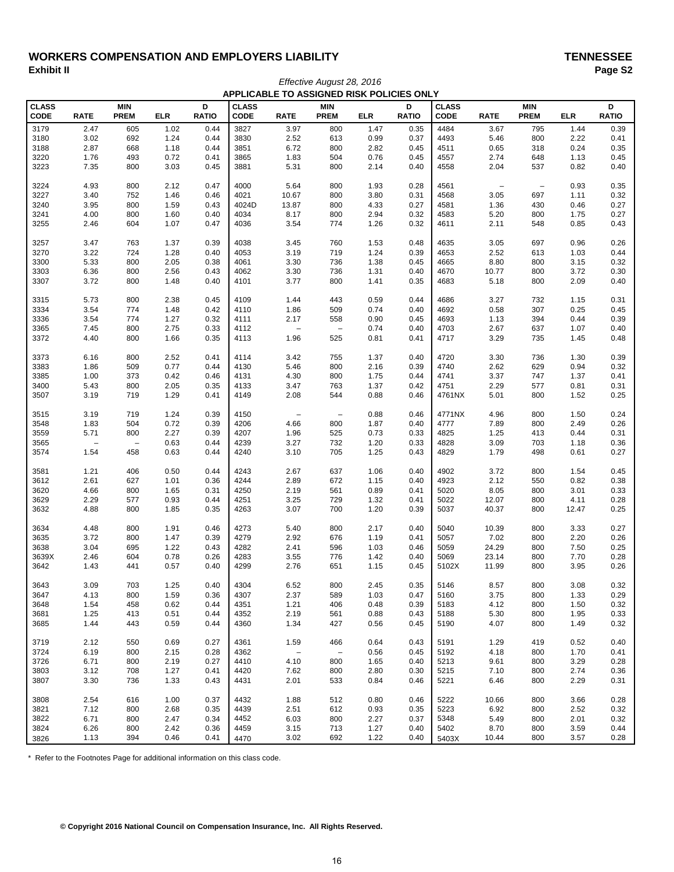# WORKERS COMPENSATION AND EMPLOYERS LIABILITY<br>Exhibit II Page S2 **Exhibit II Page S2**

|              | APPLICABLE TO ASSIGNED RISK POLICIES ONLY |                          |            |              |              |                          |                          |            |              |              |                          |                          |            |              |
|--------------|-------------------------------------------|--------------------------|------------|--------------|--------------|--------------------------|--------------------------|------------|--------------|--------------|--------------------------|--------------------------|------------|--------------|
| <b>CLASS</b> |                                           | <b>MIN</b>               |            | D            | <b>CLASS</b> |                          | <b>MIN</b>               |            | D            | <b>CLASS</b> |                          | <b>MIN</b>               |            | D            |
| CODE         | <b>RATE</b>                               | <b>PREM</b>              | <b>ELR</b> | <b>RATIO</b> | CODE         | <b>RATE</b>              | <b>PREM</b>              | <b>ELR</b> | <b>RATIO</b> | <b>CODE</b>  | <b>RATE</b>              | <b>PREM</b>              | <b>ELR</b> | <b>RATIO</b> |
| 3179         | 2.47                                      | 605                      | 1.02       | 0.44         | 3827         | 3.97                     | 800                      | 1.47       | 0.35         | 4484         | 3.67                     | 795                      | 1.44       | 0.39         |
| 3180         | 3.02                                      | 692                      | 1.24       | 0.44         | 3830         | 2.52                     | 613                      | 0.99       | 0.37         | 4493         | 5.46                     | 800                      | 2.22       | 0.41         |
| 3188         | 2.87                                      | 668                      | 1.18       | 0.44         | 3851         | 6.72                     | 800                      | 2.82       | 0.45         | 4511         | 0.65                     | 318                      | 0.24       | 0.35         |
| 3220         | 1.76                                      | 493                      | 0.72       | 0.41         | 3865         | 1.83                     | 504                      | 0.76       | 0.45         | 4557         | 2.74                     | 648                      | 1.13       | 0.45         |
| 3223         | 7.35                                      | 800                      | 3.03       | 0.45         | 3881         | 5.31                     | 800                      | 2.14       | 0.40         | 4558         | 2.04                     | 537                      | 0.82       | 0.40         |
|              |                                           |                          |            |              |              |                          |                          |            |              |              |                          |                          |            |              |
| 3224         | 4.93                                      | 800                      | 2.12       | 0.47         | 4000         | 5.64                     | 800                      | 1.93       | 0.28         | 4561         | $\overline{\phantom{0}}$ | $\overline{\phantom{a}}$ | 0.93       | 0.35         |
| 3227         | 3.40                                      | 752                      | 1.46       | 0.46         | 4021         | 10.67                    | 800                      | 3.80       | 0.31         | 4568         | 3.05                     | 697                      | 1.11       | 0.32         |
| 3240         | 3.95                                      | 800                      | 1.59       | 0.43         | 4024D        | 13.87                    | 800                      | 4.33       | 0.27         | 4581         | 1.36                     | 430                      | 0.46       | 0.27         |
| 3241         | 4.00                                      | 800                      | 1.60       | 0.40         | 4034         | 8.17                     | 800                      | 2.94       | 0.32         | 4583         | 5.20                     | 800                      | 1.75       | 0.27         |
| 3255         | 2.46                                      | 604                      | 1.07       | 0.47         | 4036         | 3.54                     | 774                      | 1.26       | 0.32         | 4611         | 2.11                     | 548                      | 0.85       | 0.43         |
|              |                                           |                          |            |              |              |                          |                          |            |              |              |                          |                          |            |              |
| 3257         | 3.47                                      | 763                      | 1.37       | 0.39         | 4038         | 3.45                     | 760                      | 1.53       | 0.48         | 4635         | 3.05                     | 697                      | 0.96       | 0.26         |
| 3270         | 3.22                                      | 724                      | 1.28       | 0.40         | 4053         | 3.19                     | 719                      | 1.24       | 0.39         | 4653         | 2.52                     | 613                      | 1.03       | 0.44         |
| 3300         | 5.33                                      | 800                      | 2.05       | 0.38         | 4061         | 3.30                     | 736                      | 1.38       | 0.45         | 4665         | 8.80                     | 800                      | 3.15       | 0.32         |
| 3303         | 6.36                                      | 800                      | 2.56       | 0.43         | 4062         | 3.30                     | 736                      | 1.31       | 0.40         | 4670         | 10.77                    | 800                      | 3.72       | 0.30         |
| 3307         | 3.72                                      | 800                      | 1.48       | 0.40         | 4101         | 3.77                     | 800                      | 1.41       | 0.35         | 4683         | 5.18                     | 800                      | 2.09       | 0.40         |
|              |                                           |                          |            |              |              |                          |                          |            |              |              |                          |                          |            |              |
| 3315         | 5.73                                      | 800                      | 2.38       | 0.45         | 4109         | 1.44                     | 443                      | 0.59       | 0.44         | 4686         | 3.27                     | 732                      | 1.15       | 0.31         |
| 3334         | 3.54                                      | 774                      | 1.48       | 0.42         | 4110         | 1.86                     | 509                      | 0.74       | 0.40         | 4692         | 0.58                     | 307                      | 0.25       | 0.45         |
| 3336         | 3.54                                      | 774                      | 1.27       | 0.32         | 4111         | 2.17                     | 558                      | 0.90       | 0.45         | 4693         | 1.13                     | 394                      | 0.44       | 0.39         |
| 3365         | 7.45                                      | 800                      | 2.75       | 0.33         | 4112         | $\overline{\phantom{a}}$ | $\qquad \qquad -$        | 0.74       | 0.40         | 4703         | 2.67                     | 637                      | 1.07       | 0.40         |
| 3372         | 4.40                                      | 800                      | 1.66       | 0.35         | 4113         | 1.96                     | 525                      | 0.81       | 0.41         | 4717         | 3.29                     | 735                      | 1.45       | 0.48         |
|              |                                           |                          |            |              |              |                          |                          |            |              |              |                          |                          |            |              |
| 3373         | 6.16                                      | 800                      | 2.52       | 0.41         | 4114         | 3.42                     | 755                      | 1.37       | 0.40         | 4720         | 3.30                     | 736                      | 1.30       | 0.39         |
| 3383         | 1.86                                      | 509                      | 0.77       | 0.44         | 4130         | 5.46                     | 800                      | 2.16       | 0.39         | 4740         | 2.62                     | 629                      | 0.94       | 0.32         |
| 3385         | 1.00                                      | 373                      | 0.42       | 0.46         | 4131         | 4.30                     | 800                      | 1.75       | 0.44         | 4741         | 3.37                     | 747                      | 1.37       | 0.41         |
| 3400         | 5.43                                      | 800                      | 2.05       | 0.35         | 4133         | 3.47                     | 763                      | 1.37       | 0.42         | 4751         | 2.29                     | 577                      | 0.81       | 0.31         |
| 3507         | 3.19                                      | 719                      | 1.29       | 0.41         | 4149         | 2.08                     | 544                      | 0.88       | 0.46         | 4761NX       | 5.01                     | 800                      | 1.52       | 0.25         |
|              |                                           |                          |            |              |              |                          |                          |            |              |              |                          |                          |            |              |
| 3515         | 3.19                                      | 719                      | 1.24       | 0.39         | 4150         | $\overline{\phantom{a}}$ | $\overline{\phantom{a}}$ | 0.88       | 0.46         | 4771NX       | 4.96                     | 800                      | 1.50       | 0.24         |
| 3548         | 1.83                                      | 504                      | 0.72       | 0.39         | 4206         | 4.66                     | 800                      | 1.87       | 0.40         | 4777         | 7.89                     | 800                      | 2.49       | 0.26         |
| 3559         | 5.71                                      | 800                      | 2.27       | 0.39         | 4207         | 1.96                     | 525                      | 0.73       | 0.33         | 4825         | 1.25                     | 413                      | 0.44       | 0.31         |
| 3565         | $\overline{\phantom{0}}$                  | $\overline{\phantom{a}}$ | 0.63       | 0.44         | 4239         | 3.27                     | 732                      | 1.20       | 0.33         | 4828         | 3.09                     | 703                      | 1.18       | 0.36         |
| 3574         | 1.54                                      | 458                      | 0.63       | 0.44         | 4240         | 3.10                     | 705                      | 1.25       | 0.43         | 4829         | 1.79                     | 498                      | 0.61       | 0.27         |
|              |                                           |                          |            |              |              |                          |                          |            |              |              |                          |                          |            |              |
| 3581         | 1.21                                      | 406                      | 0.50       | 0.44         | 4243         | 2.67                     | 637                      | 1.06       | 0.40         | 4902         | 3.72                     | 800                      | 1.54       | 0.45         |
| 3612         | 2.61                                      | 627                      | 1.01       | 0.36         | 4244         | 2.89                     | 672                      | 1.15       | 0.40         | 4923         | 2.12                     | 550                      | 0.82       | 0.38         |
| 3620         | 4.66                                      | 800                      | 1.65       | 0.31         | 4250         | 2.19                     | 561                      | 0.89       | 0.41         | 5020         | 8.05                     | 800                      | 3.01       | 0.33         |
| 3629         | 2.29                                      | 577                      | 0.93       | 0.44         | 4251         | 3.25                     | 729                      | 1.32       | 0.41         | 5022         | 12.07                    | 800                      | 4.11       | 0.28         |
| 3632         | 4.88                                      | 800                      | 1.85       | 0.35         | 4263         | 3.07                     | 700                      | 1.20       | 0.39         | 5037         | 40.37                    | 800                      | 12.47      | 0.25         |
|              |                                           |                          |            |              |              |                          |                          |            |              |              |                          |                          |            |              |
| 3634         | 4.48                                      | 800                      | 1.91       | 0.46         | 4273         | 5.40                     | 800                      | 2.17       | 0.40         | 5040         | 10.39                    | 800                      | 3.33       | 0.27         |
| 3635         | 3.72                                      | 800                      | 1.47       | 0.39         | 4279         | 2.92                     | 676                      | 1.19       | 0.41         | 5057         | 7.02                     | 800                      | 2.20       | 0.26         |
| 3638         | 3.04                                      | 695                      | 1.22       | 0.43         | 4282         | 2.41                     | 596                      | 1.03       | 0.46         | 5059         | 24.29                    | 800                      | 7.50       | 0.25         |
| 3639X        | 2.46                                      | 604                      | 0.78       | 0.26         | 4283         | 3.55                     | 776                      | 1.42       | 0.40         | 5069         | 23.14                    | 800                      | 7.70       | 0.28         |
| 3642         | 1.43                                      | 441                      | 0.57       | 0.40         | 4299         | 2.76                     | 651                      | 1.15       | 0.45         | 5102X        | 11.99                    | 800                      | 3.95       | 0.26         |
|              |                                           |                          |            |              |              |                          |                          |            |              |              |                          |                          |            |              |
| 3643         | 3.09                                      | 703                      | 1.25       | 0.40         | 4304         | 6.52                     | 800                      | 2.45       | 0.35         | 5146         | 8.57                     | 800                      | 3.08       | 0.32         |
| 3647         | 4.13                                      | 800                      | 1.59       | 0.36         | 4307         | 2.37                     | 589                      | 1.03       | 0.47         | 5160         | 3.75                     | 800                      | 1.33       | 0.29         |
| 3648         | 1.54                                      | 458                      | 0.62       | 0.44         | 4351         | 1.21                     | 406                      | 0.48       | 0.39         | 5183         | 4.12                     | 800                      | 1.50       | 0.32         |
| 3681         | 1.25                                      | 413                      | 0.51       | 0.44         | 4352         | 2.19                     | 561                      | 0.88       | 0.43         | 5188         | 5.30                     | 800                      | 1.95       | 0.33         |
| 3685         | 1.44                                      | 443                      | 0.59       | 0.44         | 4360         | 1.34                     | 427                      | 0.56       | 0.45         | 5190         | 4.07                     | 800                      | 1.49       | 0.32         |
|              |                                           |                          |            |              |              |                          |                          |            |              |              |                          |                          |            |              |
| 3719         | 2.12                                      | 550                      | 0.69       | 0.27         | 4361         | 1.59                     | 466                      | 0.64       | 0.43         | 5191         | 1.29                     | 419                      | 0.52       | 0.40         |
| 3724         | 6.19                                      | 800                      | 2.15       | 0.28         | 4362         | $\qquad \qquad -$        | $\overline{\phantom{0}}$ | 0.56       | 0.45         | 5192         | 4.18                     | 800                      | 1.70       | 0.41         |
| 3726         | 6.71                                      | 800                      | 2.19       | 0.27         | 4410         | 4.10                     | 800                      | 1.65       | 0.40         | 5213         | 9.61                     | 800                      | 3.29       | 0.28         |
| 3803         | 3.12                                      | 708                      | 1.27       | 0.41         | 4420         | 7.62                     | 800                      | 2.80       | 0.30         | 5215         | 7.10                     | 800                      | 2.74       | 0.36         |
| 3807         | 3.30                                      | 736                      | 1.33       | 0.43         | 4431         | 2.01                     | 533                      | 0.84       | 0.46         | 5221         | 6.46                     | 800                      | 2.29       | 0.31         |
|              |                                           |                          |            |              |              |                          |                          |            |              |              |                          |                          |            |              |
| 3808         | 2.54                                      | 616                      | 1.00       | 0.37         | 4432         | 1.88                     | 512                      | 0.80       | 0.46         | 5222         | 10.66                    | 800                      | 3.66       | 0.28         |
| 3821         | 7.12                                      | 800                      | 2.68       | 0.35         | 4439         | 2.51                     | 612                      | 0.93       | 0.35         | 5223         | 6.92                     | 800                      | 2.52       | 0.32         |
| 3822         | 6.71                                      | 800                      | 2.47       | 0.34         | 4452         | 6.03                     | 800                      | 2.27       | 0.37         | 5348         | 5.49                     | 800                      | 2.01       | 0.32         |
| 3824         | 6.26                                      | 800                      | 2.42       | 0.36         | 4459         | 3.15                     | 713                      | 1.27       | 0.40         | 5402         | 8.70                     | 800                      | 3.59       | 0.44         |
| 3826         | 1.13                                      | 394                      | 0.46       | 0.41         | 4470         | 3.02                     | 692                      | 1.22       | 0.40         | 5403X        | 10.44                    | 800                      | 3.57       | 0.28         |

*Effective August 28, 2016*

\* Refer to the Footnotes Page for additional information on this class code.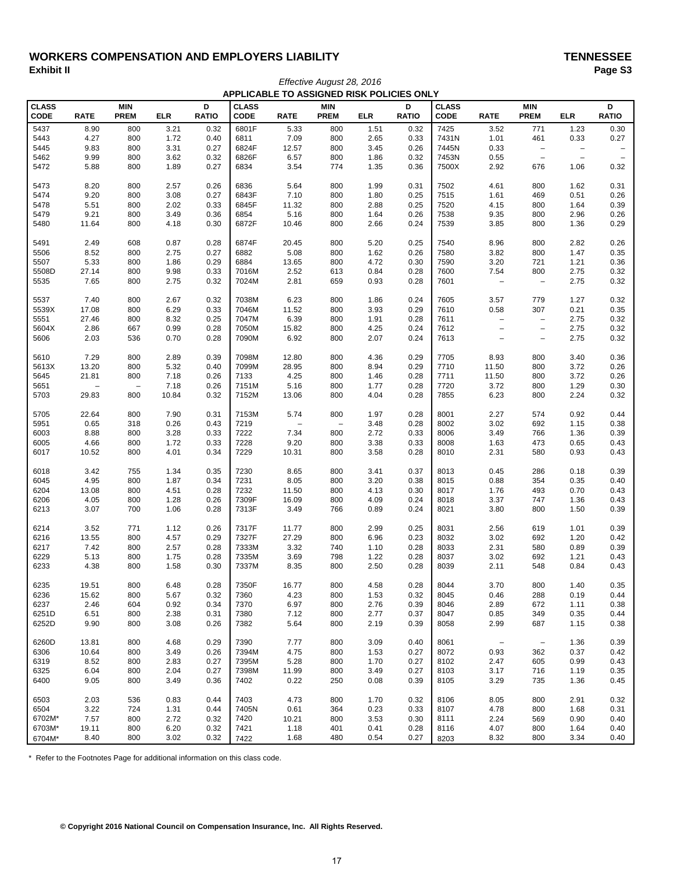# WORKERS COMPENSATION AND EMPLOYERS LIABILITY<br>Exhibit II Paqe S3 **Exhibit II Page S3**

|                             | APPLICABLE TO ASSIGNED RISK POLICIES ONLY |                                 |               |                   |                             |                   |                           |              |                   |                             |                          |                           |                   |                          |
|-----------------------------|-------------------------------------------|---------------------------------|---------------|-------------------|-----------------------------|-------------------|---------------------------|--------------|-------------------|-----------------------------|--------------------------|---------------------------|-------------------|--------------------------|
| <b>CLASS</b><br><b>CODE</b> | <b>RATE</b>                               | <b>MIN</b><br><b>PREM</b>       | <b>ELR</b>    | D<br><b>RATIO</b> | <b>CLASS</b><br><b>CODE</b> | <b>RATE</b>       | <b>MIN</b><br><b>PREM</b> | <b>ELR</b>   | D<br><b>RATIO</b> | <b>CLASS</b><br><b>CODE</b> | <b>RATE</b>              | <b>MIN</b><br><b>PREM</b> | <b>ELR</b>        | D<br><b>RATIO</b>        |
| 5437                        | 8.90                                      | 800                             | 3.21          | 0.32              | 6801F                       | 5.33              | 800                       | 1.51         | 0.32              | 7425                        | 3.52                     | 771                       | 1.23              | 0.30                     |
| 5443                        | 4.27                                      | 800                             | 1.72          | 0.40              | 6811                        | 7.09              | 800                       | 2.65         | 0.33              | 7431N                       | 1.01                     | 461                       | 0.33              | 0.27                     |
| 5445                        | 9.83                                      | 800                             | 3.31          | 0.27              | 6824F                       | 12.57             | 800                       | 3.45         | 0.26              | 7445N                       | 0.33                     | $\overline{\phantom{m}}$  | $\qquad \qquad -$ | $\overline{\phantom{a}}$ |
| 5462                        | 9.99                                      | 800                             | 3.62          | 0.32              | 6826F                       | 6.57              | 800                       | 1.86         | 0.32              | 7453N                       | 0.55                     | $\overline{\phantom{a}}$  | $\qquad \qquad -$ | $\overline{\phantom{m}}$ |
| 5472                        | 5.88                                      | 800                             | 1.89          | 0.27              | 6834                        | 3.54              | 774                       | 1.35         | 0.36              | 7500X                       | 2.92                     | 676                       | 1.06              | 0.32                     |
| 5473                        | 8.20                                      | 800                             | 2.57          | 0.26              | 6836                        | 5.64              | 800                       | 1.99         | 0.31              | 7502                        | 4.61                     | 800                       | 1.62              | 0.31                     |
| 5474                        | 9.20                                      | 800                             | 3.08          | 0.27              | 6843F                       | 7.10              | 800                       | 1.80         | 0.25              | 7515                        | 1.61                     | 469                       | 0.51              | 0.26                     |
| 5478                        | 5.51                                      | 800                             | 2.02          | 0.33              | 6845F                       | 11.32             | 800                       | 2.88         | 0.25              | 7520                        | 4.15                     | 800                       | 1.64              | 0.39                     |
| 5479                        | 9.21                                      | 800                             | 3.49          | 0.36              | 6854                        | 5.16              | 800                       | 1.64         | 0.26              | 7538                        | 9.35                     | 800                       | 2.96              | 0.26                     |
| 5480                        | 11.64                                     | 800                             | 4.18          | 0.30              | 6872F                       | 10.46             | 800                       | 2.66         | 0.24              | 7539                        | 3.85                     | 800                       | 1.36              | 0.29                     |
| 5491                        | 2.49                                      | 608                             | 0.87          | 0.28              | 6874F                       | 20.45             | 800                       | 5.20         | 0.25              | 7540                        | 8.96                     | 800                       | 2.82              | 0.26                     |
| 5506                        | 8.52                                      | 800                             | 2.75          | 0.27              | 6882                        | 5.08              | 800                       | 1.62         | 0.26              | 7580                        | 3.82                     | 800                       | 1.47              | 0.35                     |
| 5507                        | 5.33                                      | 800                             | 1.86          | 0.29              | 6884                        | 13.65             | 800                       | 4.72         | 0.30              | 7590                        | 3.20                     | 721                       | 1.21              | 0.36                     |
| 5508D                       | 27.14                                     | 800                             | 9.98          | 0.33              | 7016M                       | 2.52              | 613                       | 0.84         | 0.28              | 7600                        | 7.54                     | 800                       | 2.75              | 0.32                     |
| 5535                        | 7.65                                      | 800                             | 2.75          | 0.32              | 7024M                       | 2.81              | 659                       | 0.93         | 0.28              | 7601                        | $\overline{\phantom{0}}$ | $\overline{\phantom{0}}$  | 2.75              | 0.32                     |
| 5537                        | 7.40                                      | 800                             | 2.67          | 0.32              | 7038M                       | 6.23              | 800                       | 1.86         | 0.24              | 7605                        | 3.57                     | 779                       | 1.27              | 0.32                     |
| 5539X                       | 17.08                                     | 800                             | 6.29          | 0.33              | 7046M                       | 11.52             | 800                       | 3.93         | 0.29              | 7610                        | 0.58                     | 307                       | 0.21              | 0.35                     |
| 5551                        | 27.46                                     | 800                             | 8.32          | 0.25              | 7047M                       | 6.39              | 800                       | 1.91         | 0.28              | 7611                        | $\overline{\phantom{0}}$ | $\overline{\phantom{m}}$  | 2.75              | 0.32                     |
| 5604X                       | 2.86                                      | 667                             | 0.99          | 0.28              | 7050M                       | 15.82             | 800                       | 4.25         | 0.24              | 7612                        | $\overline{\phantom{0}}$ | $\qquad \qquad -$         | 2.75              | 0.32                     |
| 5606                        | 2.03                                      | 536                             | 0.70          | 0.28              | 7090M                       | 6.92              | 800                       | 2.07         | 0.24              | 7613                        | $\overline{\phantom{0}}$ | $\qquad \qquad -$         | 2.75              | 0.32                     |
| 5610                        | 7.29                                      | 800                             | 2.89          | 0.39              | 7098M                       | 12.80             | 800                       | 4.36         | 0.29              | 7705                        | 8.93                     | 800                       | 3.40              | 0.36                     |
| 5613X                       | 13.20                                     | 800                             | 5.32          | 0.40              | 7099M                       | 28.95             | 800                       | 8.94         | 0.29              | 7710                        | 11.50                    | 800                       | 3.72              | 0.26                     |
| 5645                        | 21.81                                     | 800                             | 7.18          | 0.26              | 7133                        | 4.25              | 800                       | 1.46         | 0.28              | 7711                        | 11.50                    | 800                       | 3.72              | 0.26                     |
| 5651<br>5703                | $\qquad \qquad -$<br>29.83                | $\overline{\phantom{a}}$<br>800 | 7.18<br>10.84 | 0.26<br>0.32      | 7151M<br>7152M              | 5.16<br>13.06     | 800<br>800                | 1.77<br>4.04 | 0.28<br>0.28      | 7720<br>7855                | 3.72<br>6.23             | 800<br>800                | 1.29<br>2.24      | 0.30<br>0.32             |
|                             |                                           |                                 |               |                   |                             |                   |                           |              |                   |                             |                          |                           |                   |                          |
| 5705                        | 22.64                                     | 800                             | 7.90          | 0.31              | 7153M                       | 5.74              | 800                       | 1.97         | 0.28              | 8001                        | 2.27                     | 574                       | 0.92              | 0.44                     |
| 5951                        | 0.65                                      | 318                             | 0.26          | 0.43              | 7219                        | $\qquad \qquad -$ | $\qquad \qquad -$         | 3.48         | 0.28              | 8002                        | 3.02                     | 692                       | 1.15              | 0.38                     |
| 6003                        | 8.88                                      | 800                             | 3.28          | 0.33              | 7222                        | 7.34              | 800                       | 2.72         | 0.33              | 8006                        | 3.49                     | 766                       | 1.36              | 0.39                     |
| 6005<br>6017                | 4.66<br>10.52                             | 800<br>800                      | 1.72<br>4.01  | 0.33<br>0.34      | 7228<br>7229                | 9.20<br>10.31     | 800<br>800                | 3.38<br>3.58 | 0.33<br>0.28      | 8008<br>8010                | 1.63<br>2.31             | 473<br>580                | 0.65<br>0.93      | 0.43<br>0.43             |
|                             |                                           |                                 |               |                   |                             |                   |                           |              |                   |                             |                          |                           |                   |                          |
| 6018                        | 3.42                                      | 755                             | 1.34          | 0.35              | 7230                        | 8.65              | 800                       | 3.41         | 0.37              | 8013                        | 0.45                     | 286                       | 0.18              | 0.39                     |
| 6045                        | 4.95                                      | 800<br>800                      | 1.87          | 0.34              | 7231<br>7232                | 8.05              | 800                       | 3.20<br>4.13 | 0.38              | 8015                        | 0.88                     | 354<br>493                | 0.35              | 0.40                     |
| 6204<br>6206                | 13.08<br>4.05                             | 800                             | 4.51<br>1.28  | 0.28<br>0.26      | 7309F                       | 11.50<br>16.09    | 800<br>800                | 4.09         | 0.30              | 8017<br>8018                | 1.76<br>3.37             | 747                       | 0.70              | 0.43<br>0.43             |
| 6213                        | 3.07                                      | 700                             | 1.06          | 0.28              | 7313F                       | 3.49              | 766                       | 0.89         | 0.24<br>0.24      | 8021                        | 3.80                     | 800                       | 1.36<br>1.50      | 0.39                     |
|                             |                                           |                                 |               |                   |                             |                   |                           |              |                   |                             |                          |                           |                   |                          |
| 6214                        | 3.52                                      | 771                             | 1.12          | 0.26              | 7317F                       | 11.77             | 800                       | 2.99         | 0.25              | 8031                        | 2.56                     | 619                       | 1.01              | 0.39                     |
| 6216                        | 13.55<br>7.42                             | 800<br>800                      | 4.57<br>2.57  | 0.29<br>0.28      | 7327F<br>7333M              | 27.29<br>3.32     | 800                       | 6.96<br>1.10 | 0.23              | 8032<br>8033                | 3.02                     | 692<br>580                | 1.20              | 0.42<br>0.39             |
| 6217<br>6229                | 5.13                                      | 800                             | 1.75          | 0.28              | 7335M                       | 3.69              | 740<br>798                | 1.22         | 0.28<br>0.28      | 8037                        | 2.31<br>3.02             | 692                       | 0.89<br>1.21      | 0.43                     |
| 6233                        | 4.38                                      | 800                             | 1.58          | 0.30              | 7337M                       | 8.35              | 800                       | 2.50         | 0.28              | 8039                        | 2.11                     | 548                       | 0.84              | 0.43                     |
|                             |                                           |                                 |               |                   |                             |                   |                           |              |                   |                             |                          |                           |                   |                          |
| 6235                        | 19.51                                     | 800                             | 6.48          | 0.28              | 7350F                       | 16.77             | 800                       | 4.58         | 0.28              | 8044                        | 3.70                     | 800                       | 1.40              | 0.35                     |
| 6236                        | 15.62                                     | 800                             | 5.67          | 0.32              | 7360                        | 4.23              | 800                       | 1.53         | 0.32              | 8045                        | 0.46                     | 288                       | 0.19              | 0.44                     |
| 6237                        | 2.46                                      | 604                             | 0.92          | 0.34              | 7370                        | 6.97              | 800                       | 2.76         | 0.39              | 8046                        | 2.89                     | 672                       | 1.11              | 0.38                     |
| 6251D                       | 6.51                                      | 800                             | 2.38          | 0.31              | 7380                        | 7.12              | 800                       | 2.77         | 0.37              | 8047                        | 0.85                     | 349                       | 0.35              | 0.44                     |
| 6252D                       | 9.90                                      | 800                             | 3.08          | 0.26              | 7382                        | 5.64              | 800                       | 2.19         | 0.39              | 8058                        | 2.99                     | 687                       | 1.15              | 0.38                     |
| 6260D                       | 13.81                                     | 800                             | 4.68          | 0.29              | 7390                        | 7.77              | 800                       | 3.09         | 0.40              | 8061                        | $\overline{\phantom{a}}$ | $\overline{\phantom{a}}$  | 1.36              | 0.39                     |
| 6306                        | 10.64                                     | 800                             | 3.49          | 0.26              | 7394M                       | 4.75              | 800                       | 1.53         | 0.27              | 8072                        | 0.93                     | 362                       | 0.37              | 0.42                     |
| 6319                        | 8.52                                      | 800                             | 2.83          | 0.27              | 7395M                       | 5.28              | 800                       | 1.70         | 0.27              | 8102                        | 2.47                     | 605                       | 0.99              | 0.43                     |
| 6325                        | 6.04                                      | 800                             | 2.04          | 0.27              | 7398M                       | 11.99             | 800                       | 3.49         | 0.27              | 8103                        | 3.17                     | 716                       | 1.19              | 0.35                     |
| 6400                        | 9.05                                      | 800                             | 3.49          | 0.36              | 7402                        | 0.22              | 250                       | 0.08         | 0.39              | 8105                        | 3.29                     | 735                       | 1.36              | 0.45                     |
| 6503                        | 2.03                                      | 536                             | 0.83          | 0.44              | 7403                        | 4.73              | 800                       | 1.70         | 0.32              | 8106                        | 8.05                     | 800                       | 2.91              | 0.32                     |
| 6504                        | 3.22                                      | 724                             | 1.31          | 0.44              | 7405N                       | 0.61              | 364                       | 0.23         | 0.33              | 8107                        | 4.78                     | 800                       | 1.68              | 0.31                     |
| 6702M*                      | 7.57                                      | 800                             | 2.72          | 0.32              | 7420                        | 10.21             | 800                       | 3.53         | 0.30              | 8111                        | 2.24                     | 569                       | 0.90              | 0.40                     |
| 6703M*                      | 19.11                                     | 800                             | 6.20          | 0.32              | 7421                        | 1.18              | 401                       | 0.41         | 0.28              | 8116                        | 4.07                     | 800                       | 1.64              | 0.40                     |
| 6704M*                      | 8.40                                      | 800                             | 3.02          | 0.32              | 7422                        | 1.68              | 480                       | 0.54         | 0.27              | 8203                        | 8.32                     | 800                       | 3.34              | 0.40                     |

*Effective August 28, 2016*

\* Refer to the Footnotes Page for additional information on this class code.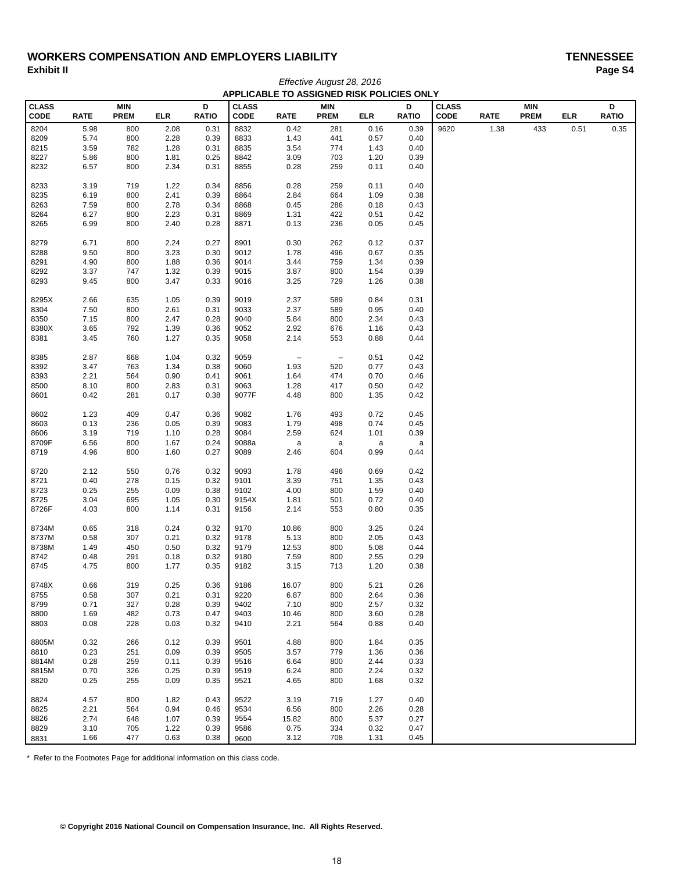# WORKERS COMPENSATION AND EMPLOYERS LIABILITY<br>Exhibit II Paqe S4 **Exhibit II Page S4**

|                      | APPLICABLE TO ASSIGNED RISK POLICIES ONLY |                           |              |                   |                             |                     |                           |            |                   |                             |             |                           |            |                   |
|----------------------|-------------------------------------------|---------------------------|--------------|-------------------|-----------------------------|---------------------|---------------------------|------------|-------------------|-----------------------------|-------------|---------------------------|------------|-------------------|
| <b>CLASS</b><br>CODE | <b>RATE</b>                               | <b>MIN</b><br><b>PREM</b> | <b>ELR</b>   | D<br><b>RATIO</b> | <b>CLASS</b><br><b>CODE</b> | <b>RATE</b>         | <b>MIN</b><br><b>PREM</b> | <b>ELR</b> | D<br><b>RATIO</b> | <b>CLASS</b><br><b>CODE</b> | <b>RATE</b> | <b>MIN</b><br><b>PREM</b> | <b>ELR</b> | D<br><b>RATIO</b> |
| 8204                 | 5.98                                      | 800                       | 2.08         | 0.31              | 8832                        | 0.42                | 281                       | 0.16       | 0.39              | 9620                        | 1.38        | 433                       | 0.51       | 0.35              |
| 8209                 | 5.74                                      | 800                       | 2.28         | 0.39              | 8833                        | 1.43                | 441                       | 0.57       | 0.40              |                             |             |                           |            |                   |
| 8215                 | 3.59                                      | 782                       | 1.28         | 0.31              | 8835                        | 3.54                | 774                       | 1.43       | 0.40              |                             |             |                           |            |                   |
| 8227                 | 5.86                                      | 800                       | 1.81         | 0.25              | 8842                        | 3.09                | 703                       | 1.20       | 0.39              |                             |             |                           |            |                   |
| 8232                 | 6.57                                      | 800                       | 2.34         | 0.31              | 8855                        | 0.28                | 259                       | 0.11       | 0.40              |                             |             |                           |            |                   |
| 8233                 | 3.19                                      | 719                       | 1.22         | 0.34              | 8856                        | 0.28                | 259                       | 0.11       | 0.40              |                             |             |                           |            |                   |
| 8235                 | 6.19                                      | 800                       | 2.41         | 0.39              | 8864                        | 2.84                | 664                       | 1.09       | 0.38              |                             |             |                           |            |                   |
| 8263                 | 7.59                                      | 800                       | 2.78         | 0.34              | 8868                        | 0.45                | 286                       | 0.18       | 0.43              |                             |             |                           |            |                   |
| 8264                 | 6.27                                      | 800                       | 2.23         | 0.31              | 8869                        | 1.31                | 422                       | 0.51       | 0.42              |                             |             |                           |            |                   |
| 8265                 | 6.99                                      | 800                       | 2.40         | 0.28              | 8871                        | 0.13                | 236                       | 0.05       | 0.45              |                             |             |                           |            |                   |
| 8279                 | 6.71                                      | 800                       | 2.24         | 0.27              | 8901                        | 0.30                | 262                       | 0.12       | 0.37              |                             |             |                           |            |                   |
| 8288                 | 9.50                                      | 800                       | 3.23         | 0.30              | 9012                        | 1.78                | 496                       | 0.67       | 0.35              |                             |             |                           |            |                   |
| 8291                 | 4.90                                      | 800                       | 1.88         | 0.36              | 9014                        | 3.44                | 759                       | 1.34       | 0.39              |                             |             |                           |            |                   |
| 8292                 | 3.37                                      | 747                       | 1.32         | 0.39              | 9015                        | 3.87                | 800                       | 1.54       | 0.39              |                             |             |                           |            |                   |
| 8293                 | 9.45                                      | 800                       | 3.47         | 0.33              | 9016                        | 3.25                | 729                       | 1.26       | 0.38              |                             |             |                           |            |                   |
| 8295X                | 2.66                                      | 635                       | 1.05         | 0.39              | 9019                        | 2.37                | 589                       | 0.84       | 0.31              |                             |             |                           |            |                   |
| 8304                 | 7.50                                      | 800                       | 2.61         | 0.31              | 9033                        | 2.37                | 589                       | 0.95       | 0.40              |                             |             |                           |            |                   |
| 8350                 | 7.15                                      | 800                       | 2.47         | 0.28              | 9040                        | 5.84                | 800                       | 2.34       | 0.43              |                             |             |                           |            |                   |
| 8380X                | 3.65                                      | 792                       | 1.39         | 0.36              | 9052                        | 2.92                | 676                       | 1.16       | 0.43              |                             |             |                           |            |                   |
| 8381                 | 3.45                                      | 760                       | 1.27         | 0.35              | 9058                        | 2.14                | 553                       | 0.88       | 0.44              |                             |             |                           |            |                   |
| 8385                 | 2.87                                      | 668                       | 1.04         | 0.32              | 9059                        | $\qquad \qquad -$   | $\overline{\phantom{a}}$  | 0.51       | 0.42              |                             |             |                           |            |                   |
| 8392                 | 3.47                                      | 763                       | 1.34         | 0.38              | 9060                        | 1.93                | 520                       | 0.77       | 0.43              |                             |             |                           |            |                   |
| 8393                 | 2.21                                      | 564                       | 0.90         | 0.41              | 9061                        | 1.64                | 474                       | 0.70       | 0.46              |                             |             |                           |            |                   |
| 8500                 | 8.10                                      | 800                       | 2.83         | 0.31              | 9063                        | 1.28                | 417                       | 0.50       | 0.42              |                             |             |                           |            |                   |
| 8601                 | 0.42                                      | 281                       | 0.17         | 0.38              | 9077F                       | 4.48                | 800                       | 1.35       | 0.42              |                             |             |                           |            |                   |
| 8602                 | 1.23                                      | 409                       | 0.47         | 0.36              | 9082                        | 1.76                | 493                       | 0.72       | 0.45              |                             |             |                           |            |                   |
| 8603                 | 0.13                                      | 236                       | 0.05         | 0.39              | 9083                        | 1.79                | 498                       | 0.74       | 0.45              |                             |             |                           |            |                   |
| 8606                 | 3.19                                      | 719                       | 1.10         | 0.28              | 9084                        | 2.59                | 624                       | 1.01       | 0.39              |                             |             |                           |            |                   |
| 8709F<br>8719        | 6.56<br>4.96                              | 800<br>800                | 1.67<br>1.60 | 0.24<br>0.27      | 9088a<br>9089               | $\mathsf a$<br>2.46 | a<br>604                  | a<br>0.99  | a<br>0.44         |                             |             |                           |            |                   |
|                      |                                           |                           |              |                   |                             |                     |                           |            |                   |                             |             |                           |            |                   |
| 8720                 | 2.12                                      | 550                       | 0.76         | 0.32              | 9093                        | 1.78                | 496                       | 0.69       | 0.42              |                             |             |                           |            |                   |
| 8721                 | 0.40                                      | 278                       | 0.15         | 0.32              | 9101                        | 3.39                | 751                       | 1.35       | 0.43              |                             |             |                           |            |                   |
| 8723                 | 0.25                                      | 255                       | 0.09         | 0.38              | 9102                        | 4.00                | 800                       | 1.59       | 0.40              |                             |             |                           |            |                   |
| 8725                 | 3.04                                      | 695                       | 1.05         | 0.30              | 9154X                       | 1.81                | 501                       | 0.72       | 0.40              |                             |             |                           |            |                   |
| 8726F                | 4.03                                      | 800                       | 1.14         | 0.31              | 9156                        | 2.14                | 553                       | 0.80       | 0.35              |                             |             |                           |            |                   |
| 8734M                | 0.65                                      | 318                       | 0.24         | 0.32              | 9170                        | 10.86               | 800                       | 3.25       | 0.24              |                             |             |                           |            |                   |
| 8737M                | 0.58                                      | 307                       | 0.21         | 0.32              | 9178                        | 5.13                | 800                       | 2.05       | 0.43              |                             |             |                           |            |                   |
| 8738M                | 1.49                                      | 450                       | 0.50         | 0.32              | 9179                        | 12.53               | 800                       | 5.08       | 0.44              |                             |             |                           |            |                   |
| 8742                 | 0.48                                      | 291                       | 0.18         | 0.32              | 9180                        | 7.59                | 800                       | 2.55       | 0.29              |                             |             |                           |            |                   |
| 8745                 | 4.75                                      | 800                       | 1.77         | 0.35              | 9182                        | 3.15                | 713                       | 1.20       | 0.38              |                             |             |                           |            |                   |
| 8748X                | 0.66                                      | 319                       | 0.25         | 0.36              | 9186                        | 16.07               | 800                       | 5.21       | 0.26              |                             |             |                           |            |                   |
| 8755                 | 0.58                                      | 307                       | 0.21         | 0.31              | 9220                        | 6.87                | 800                       | 2.64       | 0.36              |                             |             |                           |            |                   |
| 8799                 | 0.71                                      | 327                       | 0.28         | 0.39              | 9402                        | 7.10                | 800                       | 2.57       | 0.32              |                             |             |                           |            |                   |
| 8800                 | 1.69                                      | 482                       | 0.73         | 0.47              | 9403                        | 10.46               | 800                       | 3.60       | 0.28              |                             |             |                           |            |                   |
| 8803                 | 0.08                                      | 228                       | 0.03         | 0.32              | 9410                        | 2.21                | 564                       | 0.88       | 0.40              |                             |             |                           |            |                   |
| 8805M                | 0.32                                      | 266                       | 0.12         | 0.39              | 9501                        | 4.88                | 800                       | 1.84       | 0.35              |                             |             |                           |            |                   |
| 8810                 | 0.23                                      | 251                       | 0.09         | 0.39              | 9505                        | 3.57                | 779                       | 1.36       | 0.36              |                             |             |                           |            |                   |
| 8814M                | 0.28                                      | 259                       | 0.11         | 0.39              | 9516                        | 6.64                | 800                       | 2.44       | 0.33              |                             |             |                           |            |                   |
| 8815M                | 0.70                                      | 326                       | 0.25         | 0.39              | 9519                        | 6.24                | 800                       | 2.24       | 0.32              |                             |             |                           |            |                   |
| 8820                 | 0.25                                      | 255                       | 0.09         | 0.35              | 9521                        | 4.65                | 800                       | 1.68       | 0.32              |                             |             |                           |            |                   |
| 8824                 | 4.57                                      | 800                       | 1.82         | 0.43              | 9522                        | 3.19                | 719                       | 1.27       | 0.40              |                             |             |                           |            |                   |
| 8825                 | 2.21                                      | 564                       | 0.94         | 0.46              | 9534                        | 6.56                | 800                       | 2.26       | 0.28              |                             |             |                           |            |                   |
| 8826                 | 2.74                                      | 648                       | 1.07         | 0.39              | 9554                        | 15.82               | 800                       | 5.37       | 0.27              |                             |             |                           |            |                   |
| 8829                 | 3.10                                      | 705                       | 1.22         | 0.39              | 9586                        | 0.75                | 334                       | 0.32       | 0.47              |                             |             |                           |            |                   |
| 8831                 | 1.66                                      | 477                       | 0.63         | 0.38              | 9600                        | 3.12                | 708                       | 1.31       | 0.45              |                             |             |                           |            |                   |

*Effective August 28, 2016*

\* Refer to the Footnotes Page for additional information on this class code.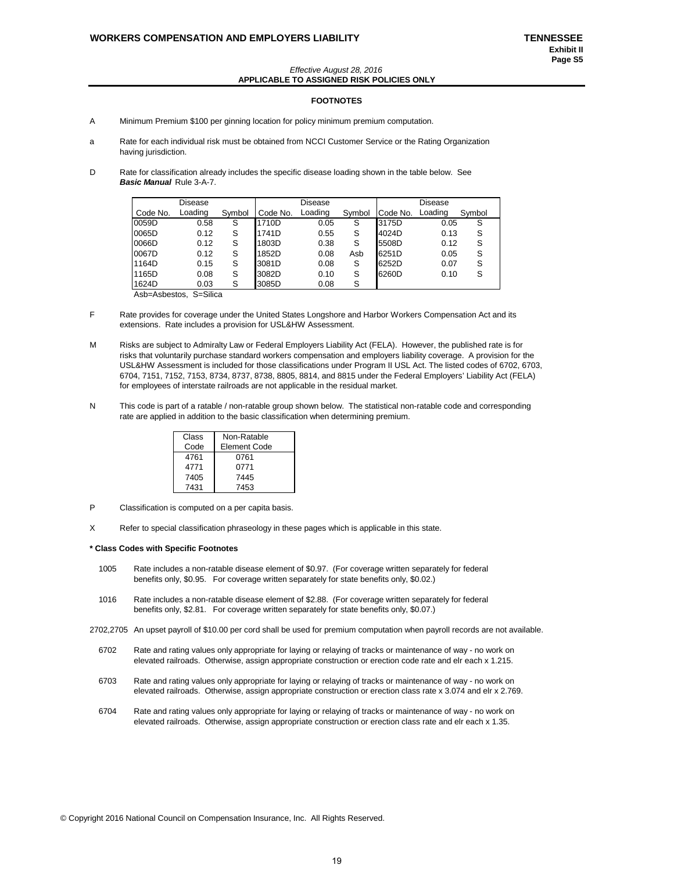### *Effective August 28, 2016* **APPLICABLE TO ASSIGNED RISK POLICIES ONLY**

### **FOOTNOTES**

- A Minimum Premium \$100 per ginning location for policy minimum premium computation.
- a Rate for each individual risk must be obtained from NCCI Customer Service or the Rating Organization having jurisdiction.
- D Rate for classification already includes the specific disease loading shown in the table below. See *Basic Manual* Rule 3-A-7.

|          | Disease |        |          | Disease |        |          | Disease |        |
|----------|---------|--------|----------|---------|--------|----------|---------|--------|
| Code No. | Loading | Symbol | Code No. | Loading | Symbol | Code No. | Loading | Symbol |
| 0059D    | 0.58    | S      | 1710D    | 0.05    | S      | 3175D    | 0.05    | S      |
| 0065D    | 0.12    | S      | 1741D    | 0.55    | S      | 4024D    | 0.13    | S      |
| 0066D    | 0.12    | S      | 1803D    | 0.38    | S      | 5508D    | 0.12    | S      |
| 0067D    | 0.12    | S      | 1852D    | 0.08    | Asb    | 6251D    | 0.05    | S      |
| 1164D    | 0.15    | S      | 3081D    | 0.08    | S      | 6252D    | 0.07    | S      |
| 1165D    | 0.08    | S      | 3082D    | 0.10    | S      | 6260D    | 0.10    | S      |
| 1624D    | 0.03    | S      | 3085D    | 0.08    | S      |          |         |        |

Asb=Asbestos, S=Silica

- F Rate provides for coverage under the United States Longshore and Harbor Workers Compensation Act and its extensions. Rate includes a provision for USL&HW Assessment.
- M Risks are subject to Admiralty Law or Federal Employers Liability Act (FELA). However, the published rate is for risks that voluntarily purchase standard workers compensation and employers liability coverage. A provision for the USL&HW Assessment is included for those classifications under Program II USL Act. The listed codes of 6702, 6703, 6704, 7151, 7152, 7153, 8734, 8737, 8738, 8805, 8814, and 8815 under the Federal Employers' Liability Act (FELA) for employees of interstate railroads are not applicable in the residual market.
- N This code is part of a ratable / non-ratable group shown below. The statistical non-ratable code and corresponding rate are applied in addition to the basic classification when determining premium.

| Class | Non-Ratable         |
|-------|---------------------|
| Code  | <b>Element Code</b> |
| 4761  | 0761                |
| 4771  | 0771                |
| 7405  | 7445                |
| 7431  | 7453                |

- P Classification is computed on a per capita basis.
- X Refer to special classification phraseology in these pages which is applicable in this state.

#### **\* Class Codes with Specific Footnotes**

- 1005 Rate includes a non-ratable disease element of \$0.97. (For coverage written separately for federal benefits only, \$0.95. For coverage written separately for state benefits only, \$0.02.)
- 1016 Rate includes a non-ratable disease element of \$2.88. (For coverage written separately for federal benefits only, \$2.81. For coverage written separately for state benefits only, \$0.07.)
- 2702,2705 An upset payroll of \$10.00 per cord shall be used for premium computation when payroll records are not available.
	- 6702 Rate and rating values only appropriate for laying or relaying of tracks or maintenance of way no work on elevated railroads. Otherwise, assign appropriate construction or erection code rate and elr each x 1.215.
	- 6703 Rate and rating values only appropriate for laying or relaying of tracks or maintenance of way no work on elevated railroads. Otherwise, assign appropriate construction or erection class rate x 3.074 and elr x 2.769.
	- 6704 Rate and rating values only appropriate for laying or relaying of tracks or maintenance of way no work on elevated railroads. Otherwise, assign appropriate construction or erection class rate and elr each x 1.35.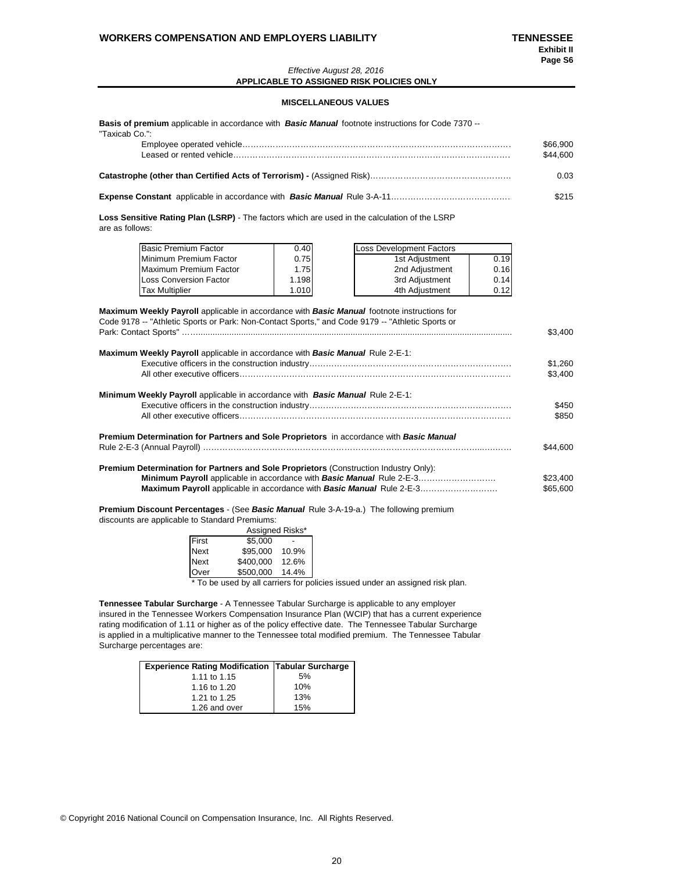### *Effective August 28, 2016* **APPLICABLE TO ASSIGNED RISK POLICIES ONLY**

### **MISCELLANEOUS VALUES**

| <b>Basis of premium</b> applicable in accordance with <b>Basic Manual</b> footnote instructions for Code 7370 --<br>"Taxicab Co.": |                      |
|------------------------------------------------------------------------------------------------------------------------------------|----------------------|
|                                                                                                                                    | \$66,900<br>\$44,600 |
|                                                                                                                                    | 0.03                 |
|                                                                                                                                    | \$215                |

**Loss Sensitive Rating Plan (LSRP)** - The factors which are used in the calculation of the LSRP are as follows:

| <b>Basic Premium Factor</b> | 0.40  | Loss Development Factors |      |
|-----------------------------|-------|--------------------------|------|
| Minimum Premium Factor      | 0.75  | 1st Adjustment           | 0.19 |
| Maximum Premium Factor      | 1.75  | 2nd Adjustment           | 0.16 |
| Loss Conversion Factor      | 1.198 | 3rd Adjustment           | 0.14 |
| Tax Multiplier              | 1.010 | 4th Adiustment           | 0.12 |

| <b>Maximum Weekly Payroll</b> applicable in accordance with <b>Basic Manual</b> footnote instructions for<br>Code 9178 -- "Athletic Sports or Park: Non-Contact Sports," and Code 9179 -- "Athletic Sports or |          |
|---------------------------------------------------------------------------------------------------------------------------------------------------------------------------------------------------------------|----------|
|                                                                                                                                                                                                               | \$3.400  |
| <b>Maximum Weekly Payroll</b> applicable in accordance with <b>Basic Manual</b> Rule 2-E-1:                                                                                                                   |          |
|                                                                                                                                                                                                               | \$1,260  |
|                                                                                                                                                                                                               | \$3,400  |
| <b>Minimum Weekly Payroll</b> applicable in accordance with <b>Basic Manual</b> Rule 2-E-1:                                                                                                                   |          |
|                                                                                                                                                                                                               | \$450    |
|                                                                                                                                                                                                               | \$850    |
| Premium Determination for Partners and Sole Proprietors in accordance with Basic Manual                                                                                                                       |          |
|                                                                                                                                                                                                               | \$44,600 |
| Premium Determination for Partners and Sole Proprietors (Construction Industry Only):                                                                                                                         |          |
| <b>Minimum Payroll</b> applicable in accordance with <b>Basic Manual</b> Rule 2-E-3                                                                                                                           | \$23,400 |
| <b>Maximum Payroll</b> applicable in accordance with <b>Basic Manual</b> Rule 2-E-3                                                                                                                           | \$65,600 |
| <b>Premium Discount Percentages - (See Basic Manual Rule 3-A-19-a.) The following premium</b>                                                                                                                 |          |

discounts are applicable to Standard Premiums:

|             | Assigned Risks* |       |  |  |  |  |  |  |
|-------------|-----------------|-------|--|--|--|--|--|--|
| First       | \$5.000         |       |  |  |  |  |  |  |
| <b>Next</b> | \$95.000        | 10.9% |  |  |  |  |  |  |
| <b>Next</b> | \$400.000       | 12.6% |  |  |  |  |  |  |
| Over        | \$500.000       | 14.4% |  |  |  |  |  |  |
|             |                 |       |  |  |  |  |  |  |

\* To be used by all carriers for policies issued under an assigned risk plan.

**Tennessee Tabular Surcharge** - A Tennessee Tabular Surcharge is applicable to any employer insured in the Tennessee Workers Compensation Insurance Plan (WCIP) that has a current experience rating modification of 1.11 or higher as of the policy effective date. The Tennessee Tabular Surcharge is applied in a multiplicative manner to the Tennessee total modified premium. The Tennessee Tabular Surcharge percentages are:

| <b>Experience Rating Modification Tabular Surcharge</b> |     |
|---------------------------------------------------------|-----|
| 1.11 to 1.15                                            | 5%  |
| 1.16 to 1.20                                            | 10% |
| 1.21 to 1.25                                            | 13% |
| 1.26 and over                                           | 15% |